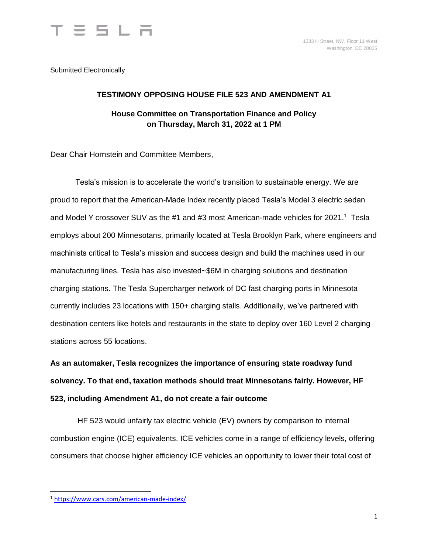

Submitted Electronically

#### **TESTIMONY OPPOSING HOUSE FILE 523 AND AMENDMENT A1 House Committee on Transportation Finance and Policy on Thursday, March 31, 2022 at 1 PM**

Dear Chair Hornstein and Committee Members,

Tesla's mission is to accelerate the world's transition to sustainable energy. We are proud to report that the American-Made Index recently placed Tesla's Model 3 electric sedan and Model Y crossover SUV as the #1 and #3 most American-made vehicles for 2021.<sup>1</sup> Tesla employs about 200 Minnesotans, primarily located at Tesla Brooklyn Park, where engineers and machinists critical to Tesla's mission and success design and build the machines used in our manufacturing lines. Tesla has also invested~\$6M in charging solutions and destination charging stations. The Tesla Supercharger network of DC fast charging ports in Minnesota currently includes 23 locations with 150+ charging stalls. Additionally, we've partnered with destination centers like hotels and restaurants in the state to deploy over 160 Level 2 charging stations across 55 locations.

**As an automaker, Tesla recognizes the importance of ensuring state roadway fund solvency. To that end, taxation methods should treat Minnesotans fairly. However, HF 523, including Amendment A1, do not create a fair outcome**

HF 523 would unfairly tax electric vehicle (EV) owners by comparison to internal combustion engine (ICE) equivalents. ICE vehicles come in a range of efficiency levels, offering consumers that choose higher efficiency ICE vehicles an opportunity to lower their total cost of

 $\overline{a}$ 

<sup>1</sup> <https://www.cars.com/american-made-index/>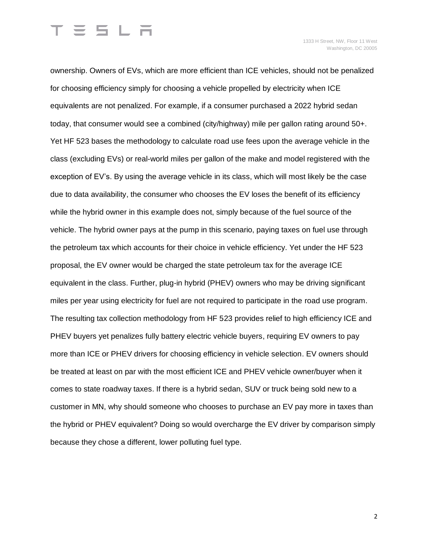# $\equiv$  5 L  $\equiv$

ownership. Owners of EVs, which are more efficient than ICE vehicles, should not be penalized for choosing efficiency simply for choosing a vehicle propelled by electricity when ICE equivalents are not penalized. For example, if a consumer purchased a 2022 hybrid sedan today, that consumer would see a combined (city/highway) mile per gallon rating around 50+. Yet HF 523 bases the methodology to calculate road use fees upon the average vehicle in the class (excluding EVs) or real-world miles per gallon of the make and model registered with the exception of EV's. By using the average vehicle in its class, which will most likely be the case due to data availability, the consumer who chooses the EV loses the benefit of its efficiency while the hybrid owner in this example does not, simply because of the fuel source of the vehicle. The hybrid owner pays at the pump in this scenario, paying taxes on fuel use through the petroleum tax which accounts for their choice in vehicle efficiency. Yet under the HF 523 proposal, the EV owner would be charged the state petroleum tax for the average ICE equivalent in the class. Further, plug-in hybrid (PHEV) owners who may be driving significant miles per year using electricity for fuel are not required to participate in the road use program. The resulting tax collection methodology from HF 523 provides relief to high efficiency ICE and PHEV buyers yet penalizes fully battery electric vehicle buyers, requiring EV owners to pay more than ICE or PHEV drivers for choosing efficiency in vehicle selection. EV owners should be treated at least on par with the most efficient ICE and PHEV vehicle owner/buyer when it comes to state roadway taxes. If there is a hybrid sedan, SUV or truck being sold new to a customer in MN, why should someone who chooses to purchase an EV pay more in taxes than the hybrid or PHEV equivalent? Doing so would overcharge the EV driver by comparison simply because they chose a different, lower polluting fuel type.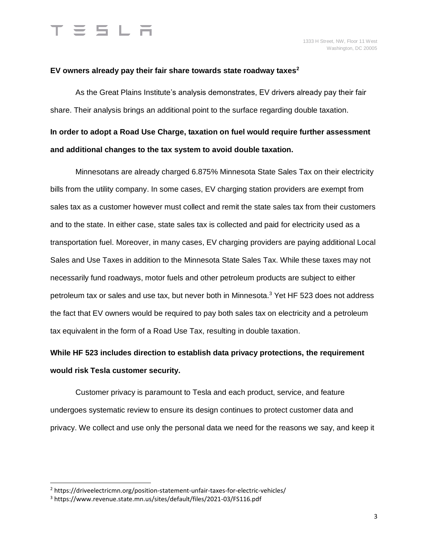#### **EV owners already pay their fair share towards state roadway taxes<sup>2</sup>**

As the Great Plains Institute's analysis demonstrates, EV drivers already pay their fair share. Their analysis brings an additional point to the surface regarding double taxation.

### **In order to adopt a Road Use Charge, taxation on fuel would require further assessment and additional changes to the tax system to avoid double taxation.**

Minnesotans are already charged 6.875% Minnesota State Sales Tax on their electricity bills from the utility company. In some cases, EV charging station providers are exempt from sales tax as a customer however must collect and remit the state sales tax from their customers and to the state. In either case, state sales tax is collected and paid for electricity used as a transportation fuel. Moreover, in many cases, EV charging providers are paying additional Local Sales and Use Taxes in addition to the Minnesota State Sales Tax. While these taxes may not necessarily fund roadways, motor fuels and other petroleum products are subject to either petroleum tax or sales and use tax, but never both in Minnesota.<sup>3</sup> Yet HF 523 does not address the fact that EV owners would be required to pay both sales tax on electricity and a petroleum tax equivalent in the form of a Road Use Tax, resulting in double taxation.

### **While HF 523 includes direction to establish data privacy protections, the requirement would risk Tesla customer security.**

Customer privacy is paramount to Tesla and each product, service, and feature undergoes systematic review to ensure its design continues to protect customer data and privacy. We collect and use only the personal data we need for the reasons we say, and keep it

 $\overline{a}$ 

<sup>&</sup>lt;sup>2</sup> https://driveelectricmn.org/position-statement-unfair-taxes-for-electric-vehicles/

<sup>3</sup> https://www.revenue.state.mn.us/sites/default/files/2021-03/FS116.pdf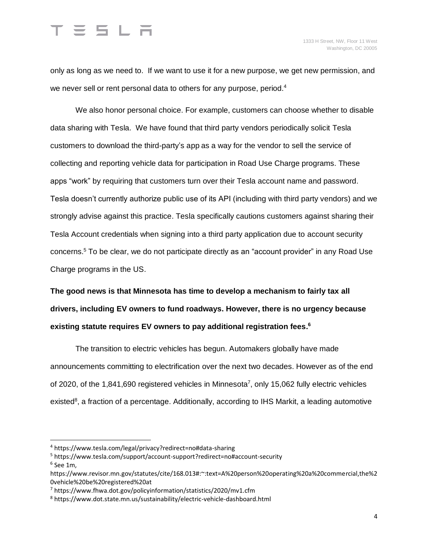# $= 5 L H$

only as long as we need to. If we want to use it for a new purpose, we get new permission, and we never sell or rent personal data to others for any purpose, period.<sup>4</sup>

We also honor personal choice. For example, customers can choose whether to disable data sharing with Tesla. We have found that third party vendors periodically solicit Tesla customers to download the third-party's app as a way for the vendor to sell the service of collecting and reporting vehicle data for participation in Road Use Charge programs. These apps "work" by requiring that customers turn over their Tesla account name and password. Tesla doesn't currently authorize public use of its API (including with third party vendors) and we strongly advise against this practice. Tesla specifically cautions customers against sharing their Tesla Account credentials when signing into a third party application due to account security concerns.<sup>5</sup> To be clear, we do not participate directly as an "account provider" in any Road Use Charge programs in the US.

**The good news is that Minnesota has time to develop a mechanism to fairly tax all drivers, including EV owners to fund roadways. However, there is no urgency because existing statute requires EV owners to pay additional registration fees. 6**

The transition to electric vehicles has begun. Automakers globally have made announcements committing to electrification over the next two decades. However as of the end of 2020, of the 1,841,690 registered vehicles in Minnesota<sup>7</sup>, only 15,062 fully electric vehicles existed<sup>8</sup>, a fraction of a percentage. Additionally, according to IHS Markit, a leading automotive

 $\overline{a}$ 

<sup>4</sup> https://www.tesla.com/legal/privacy?redirect=no#data-sharing

<sup>5</sup> https://www.tesla.com/support/account-support?redirect=no#account-security 6 See 1m,

https://www.revisor.mn.gov/statutes/cite/168.013#:~:text=A%20person%20operating%20a%20commercial,the%2 0vehicle%20be%20registered%20at

<sup>7</sup> https://www.fhwa.dot.gov/policyinformation/statistics/2020/mv1.cfm

<sup>8</sup> https://www.dot.state.mn.us/sustainability/electric-vehicle-dashboard.html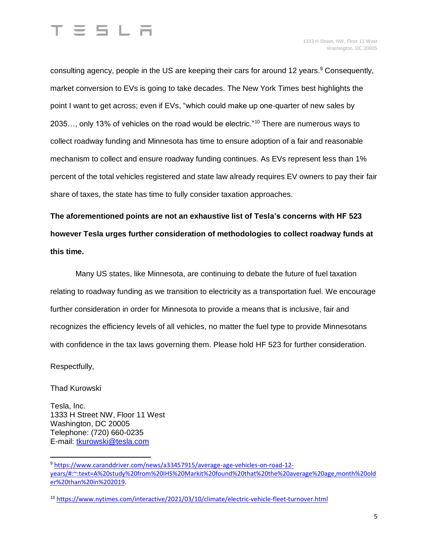

consulting agency, people in the US are keeping their cars for around 12 years.<sup>9</sup> Consequently, market conversion to EVs is going to take decades. The New York Times best highlights the point I want to get across; even if EVs, "which could make up one-quarter of new sales by 2035…, only 13% of vehicles on the road would be electric."<sup>10</sup> There are numerous ways to collect roadway funding and Minnesota has time to ensure adoption of a fair and reasonable mechanism to collect and ensure roadway funding continues. As EVs represent less than 1% percent of the total vehicles registered and state law already requires EV owners to pay their fair share of taxes, the state has time to fully consider taxation approaches.

**The aforementioned points are not an exhaustive list of Tesla's concerns with HF 523 however Tesla urges further consideration of methodologies to collect roadway funds at this time.**

Many US states, like Minnesota, are continuing to debate the future of fuel taxation relating to roadway funding as we transition to electricity as a transportation fuel. We encourage further consideration in order for Minnesota to provide a means that is inclusive, fair and recognizes the efficiency levels of all vehicles, no matter the fuel type to provide Minnesotans with confidence in the tax laws governing them. Please hold HF 523 for further consideration.

Respectfully,

Thad Kurowski

 $\overline{a}$ 

Tesla, Inc. 1333 H Street NW, Floor 11 West Washington, DC 20005 Telephone: (720) 660-0235 E-mail: [tkurowski@tesla.com](mailto:tkurowski@tesla.com)

<sup>9</sup> [https://www.caranddriver.com/news/a33457915/average-age-vehicles-on-road-12](https://www.caranddriver.com/news/a33457915/average-age-vehicles-on-road-12-years/#:~:text=A%20study%20from%20IHS%20Markit%20found%20that%20the%20average%20age,month%20older%20than%20in%202019) [years/#:~:text=A%20study%20from%20IHS%20Markit%20found%20that%20the%20average%20age,month%20old](https://www.caranddriver.com/news/a33457915/average-age-vehicles-on-road-12-years/#:~:text=A%20study%20from%20IHS%20Markit%20found%20that%20the%20average%20age,month%20older%20than%20in%202019) [er%20than%20in%202019.](https://www.caranddriver.com/news/a33457915/average-age-vehicles-on-road-12-years/#:~:text=A%20study%20from%20IHS%20Markit%20found%20that%20the%20average%20age,month%20older%20than%20in%202019)

<sup>&</sup>lt;sup>10</sup> <https://www.nytimes.com/interactive/2021/03/10/climate/electric-vehicle-fleet-turnover.html>